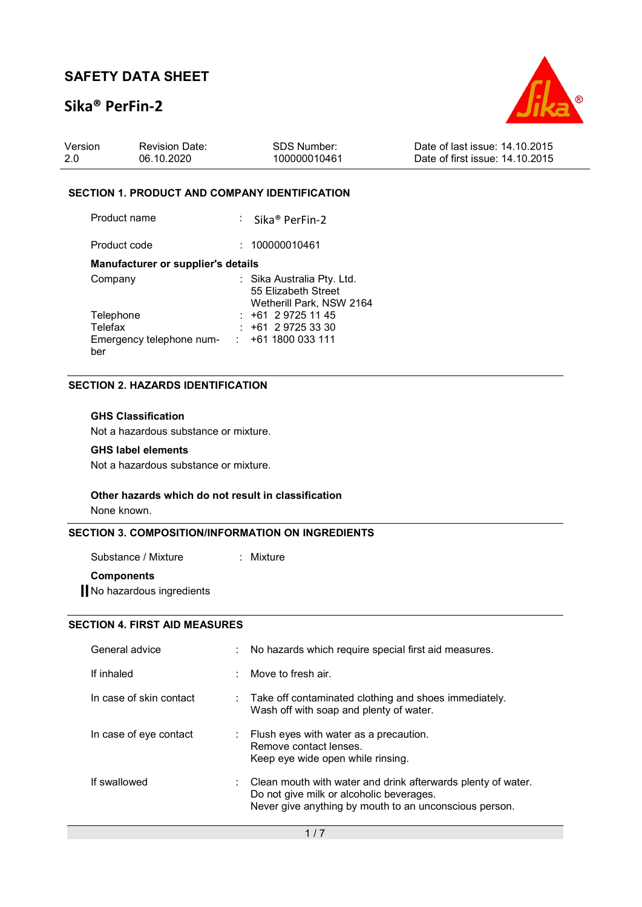## Sika® PerFin-2



| Version | <b>Revision Date:</b> | SDS Number:  | Date of last issue: 14,10,2015  |
|---------|-----------------------|--------------|---------------------------------|
| -2.0    | 06.10.2020            | 100000010461 | Date of first issue: 14.10.2015 |

#### SECTION 1. PRODUCT AND COMPANY IDENTIFICATION

| Product name | : Sika <sup>®</sup> PerFin-2 |
|--------------|------------------------------|
|              |                              |

Product code : 100000010461

#### Manufacturer or supplier's details

| Company                  | : Sika Australia Pty. Ltd.<br>55 Elizabeth Street |
|--------------------------|---------------------------------------------------|
|                          |                                                   |
|                          | Wetherill Park, NSW 2164                          |
| Telephone                | $: +61297251145$                                  |
| Telefax                  | $: +61297253330$                                  |
| Emergency telephone num- | $\div$ +61 1800 033 111                           |
| ber                      |                                                   |

### SECTION 2. HAZARDS IDENTIFICATION

### GHS Classification

Not a hazardous substance or mixture.

#### GHS label elements

Not a hazardous substance or mixture.

#### Other hazards which do not result in classification

None known.

### SECTION 3. COMPOSITION/INFORMATION ON INGREDIENTS

Substance / Mixture : Mixture :

#### **Components**

**No hazardous ingredients** 

### SECTION 4. FIRST AID MEASURES

| General advice          | : No hazards which require special first aid measures.                                                                                                                          |
|-------------------------|---------------------------------------------------------------------------------------------------------------------------------------------------------------------------------|
| If inhaled              | $\therefore$ Move to fresh air.                                                                                                                                                 |
| In case of skin contact | $\therefore$ Take off contaminated clothing and shoes immediately.<br>Wash off with soap and plenty of water.                                                                   |
| In case of eye contact  | $\therefore$ Flush eyes with water as a precaution.<br>Remove contact lenses.<br>Keep eye wide open while rinsing.                                                              |
| If swallowed            | $\therefore$ Clean mouth with water and drink afterwards plenty of water.<br>Do not give milk or alcoholic beverages.<br>Never give anything by mouth to an unconscious person. |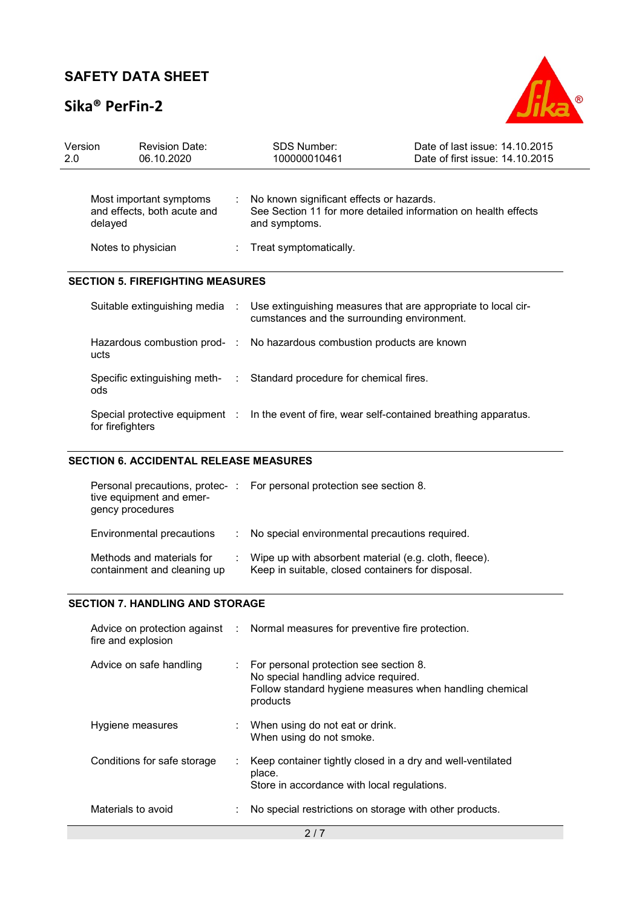## Sika® PerFin-2



| Version<br>2.0 | <b>Revision Date:</b><br>06.10.2020                                       | <b>SDS Number:</b><br>100000010461                                                                                            | Date of last issue: 14.10.2015<br>Date of first issue: 14.10.2015 |
|----------------|---------------------------------------------------------------------------|-------------------------------------------------------------------------------------------------------------------------------|-------------------------------------------------------------------|
|                | Most important symptoms<br>and effects, both acute and<br>delayed         | : No known significant effects or hazards.<br>See Section 11 for more detailed information on health effects<br>and symptoms. |                                                                   |
|                | Notes to physician                                                        | : Treat symptomatically.                                                                                                      |                                                                   |
|                | <b>SECTION 5. FIREFIGHTING MEASURES</b><br>Suitable extinguishing media : | Use extinguishing measures that are appropriate to local cir-<br>cumstances and the surrounding environment.                  |                                                                   |
|                | ucts                                                                      | Hazardous combustion prod- : No hazardous combustion products are known                                                       |                                                                   |
|                | ods                                                                       | Specific extinguishing meth- : Standard procedure for chemical fires.                                                         |                                                                   |
|                | for firefighters                                                          | Special protective equipment : ln the event of fire, wear self-contained breathing apparatus.                                 |                                                                   |

## SECTION 6. ACCIDENTAL RELEASE MEASURES

| tive equipment and emer-<br>gency procedures             |    | Personal precautions, protec-: For personal protection see section 8.                                      |
|----------------------------------------------------------|----|------------------------------------------------------------------------------------------------------------|
| Environmental precautions                                | ÷. | No special environmental precautions required.                                                             |
| Methods and materials for<br>containment and cleaning up |    | Wipe up with absorbent material (e.g. cloth, fleece).<br>Keep in suitable, closed containers for disposal. |

### SECTION 7. HANDLING AND STORAGE

| fire and explosion          | Advice on protection against : Normal measures for preventive fire protection.                                                                        |
|-----------------------------|-------------------------------------------------------------------------------------------------------------------------------------------------------|
| Advice on safe handling     | For personal protection see section 8.<br>No special handling advice required.<br>Follow standard hygiene measures when handling chemical<br>products |
| Hygiene measures            | When using do not eat or drink.<br>When using do not smoke.                                                                                           |
| Conditions for safe storage | Keep container tightly closed in a dry and well-ventilated<br>place.<br>Store in accordance with local regulations.                                   |
| Materials to avoid          | No special restrictions on storage with other products.                                                                                               |
|                             | 2/7                                                                                                                                                   |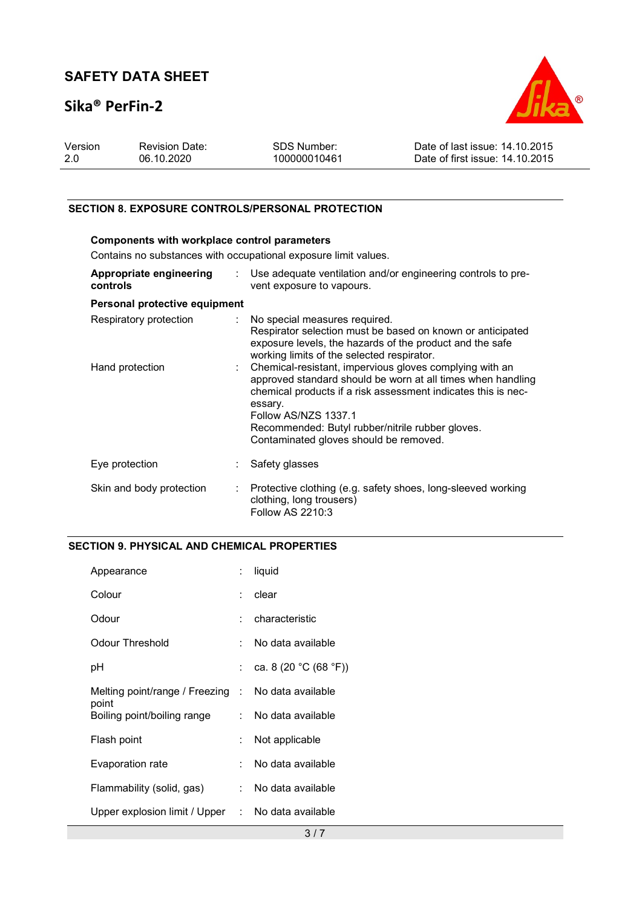## Sika® PerFin-2



| Version | <b>Revision Date:</b> | SDS Number:  | Date of last issue: 14.10.2015  |
|---------|-----------------------|--------------|---------------------------------|
|         | 06.10.2020            | 100000010461 | Date of first issue: 14.10.2015 |

### SECTION 8. EXPOSURE CONTROLS/PERSONAL PROTECTION

| Components with workplace control parameters<br>Contains no substances with occupational exposure limit values. |                               |                                                                                                                                                                                                                                                                                                                                 |  |  |
|-----------------------------------------------------------------------------------------------------------------|-------------------------------|---------------------------------------------------------------------------------------------------------------------------------------------------------------------------------------------------------------------------------------------------------------------------------------------------------------------------------|--|--|
|                                                                                                                 |                               |                                                                                                                                                                                                                                                                                                                                 |  |  |
| Appropriate engineering<br>controls                                                                             |                               | $\therefore$ Use adequate ventilation and/or engineering controls to pre-<br>vent exposure to vapours.                                                                                                                                                                                                                          |  |  |
| Personal protective equipment                                                                                   |                               |                                                                                                                                                                                                                                                                                                                                 |  |  |
| Respiratory protection                                                                                          |                               | : No special measures required.<br>Respirator selection must be based on known or anticipated<br>exposure levels, the hazards of the product and the safe<br>working limits of the selected respirator.                                                                                                                         |  |  |
| Hand protection                                                                                                 | $\mathcal{L}^{\mathcal{L}}$ . | Chemical-resistant, impervious gloves complying with an<br>approved standard should be worn at all times when handling<br>chemical products if a risk assessment indicates this is nec-<br>essary.<br><b>Follow AS/NZS 1337.1</b><br>Recommended: Butyl rubber/nitrile rubber gloves.<br>Contaminated gloves should be removed. |  |  |
| Eye protection                                                                                                  |                               | Safety glasses                                                                                                                                                                                                                                                                                                                  |  |  |
| Skin and body protection                                                                                        | $\mathcal{L}_{\mathcal{A}}$   | Protective clothing (e.g. safety shoes, long-sleeved working<br>clothing, long trousers)<br>Follow AS 2210:3                                                                                                                                                                                                                    |  |  |

### SECTION 9. PHYSICAL AND CHEMICAL PROPERTIES

| Appearance                                                  | ÷.                   | liquid                |
|-------------------------------------------------------------|----------------------|-----------------------|
| Colour                                                      | ÷                    | clear                 |
| Odour                                                       | ٠.                   | characteristic        |
| Odour Threshold                                             | ÷                    | No data available     |
| рH                                                          | ÷                    | ca. 8 (20 °C (68 °F)) |
| Melting point/range / Freezing : No data available<br>point |                      |                       |
| Boiling point/boiling range                                 |                      | : No data available   |
| Flash point                                                 | $\ddot{\phantom{a}}$ | Not applicable        |
| Evaporation rate                                            | ÷                    | No data available     |
| Flammability (solid, gas)                                   |                      | : No data available   |
| Upper explosion limit / Upper : No data available           |                      |                       |
|                                                             |                      | 3/7                   |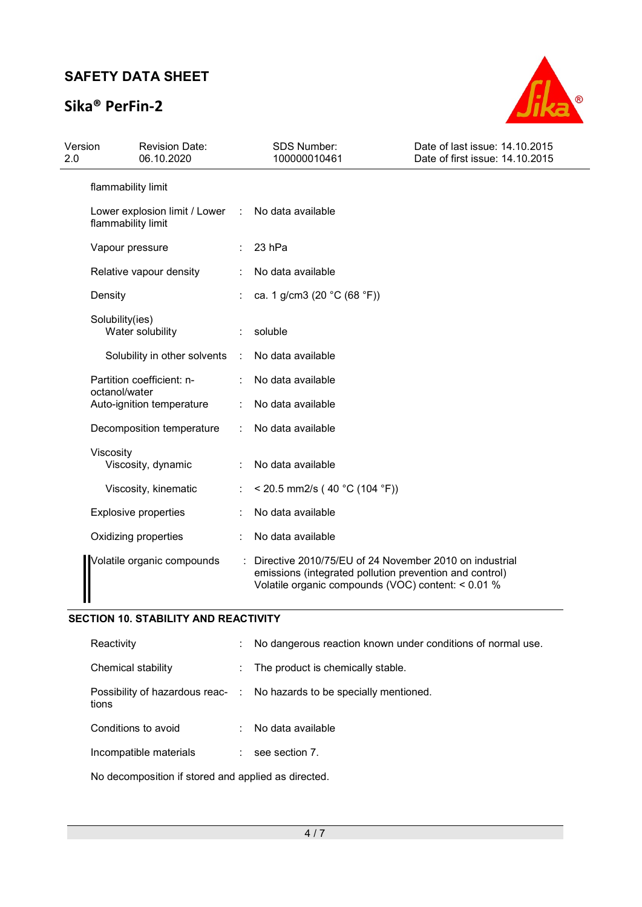## Sika® PerFin-2



| Version<br>2.0 |                    | <b>Revision Date:</b><br>06.10.2020 |            | <b>SDS Number:</b><br>100000010461                                                                                                                                      | Date of last issue: 14.10.2015<br>Date of first issue: 14.10.2015 |
|----------------|--------------------|-------------------------------------|------------|-------------------------------------------------------------------------------------------------------------------------------------------------------------------------|-------------------------------------------------------------------|
|                | flammability limit |                                     |            |                                                                                                                                                                         |                                                                   |
|                | flammability limit | Lower explosion limit / Lower       | $\sim 100$ | No data available                                                                                                                                                       |                                                                   |
|                | Vapour pressure    |                                     |            | 23 hPa                                                                                                                                                                  |                                                                   |
|                |                    | Relative vapour density             |            | No data available                                                                                                                                                       |                                                                   |
|                | Density            |                                     |            | ca. 1 g/cm3 (20 °C (68 °F))                                                                                                                                             |                                                                   |
|                | Solubility(ies)    | Water solubility                    |            | soluble                                                                                                                                                                 |                                                                   |
|                |                    | Solubility in other solvents        | $\sim$     | No data available                                                                                                                                                       |                                                                   |
|                | octanol/water      | Partition coefficient: n-           |            | No data available                                                                                                                                                       |                                                                   |
|                |                    | Auto-ignition temperature           |            | No data available                                                                                                                                                       |                                                                   |
|                |                    | Decomposition temperature           |            | No data available                                                                                                                                                       |                                                                   |
|                | Viscosity          | Viscosity, dynamic                  |            | No data available                                                                                                                                                       |                                                                   |
|                |                    | Viscosity, kinematic                |            | < 20.5 mm2/s (40 °C (104 °F))                                                                                                                                           |                                                                   |
|                |                    | <b>Explosive properties</b>         |            | No data available                                                                                                                                                       |                                                                   |
|                |                    | Oxidizing properties                |            | No data available                                                                                                                                                       |                                                                   |
|                |                    | Volatile organic compounds          |            | Directive 2010/75/EU of 24 November 2010 on industrial<br>emissions (integrated pollution prevention and control)<br>Volatile organic compounds (VOC) content: < 0.01 % |                                                                   |

### SECTION 10. STABILITY AND REACTIVITY

| Reactivity             | ÷             | No dangerous reaction known under conditions of normal use.            |
|------------------------|---------------|------------------------------------------------------------------------|
| Chemical stability     | $\sim$        | The product is chemically stable.                                      |
| tions                  |               | Possibility of hazardous reac- : No hazards to be specially mentioned. |
| Conditions to avoid    | $\mathcal{L}$ | No data available                                                      |
| Incompatible materials |               | see section 7.                                                         |
|                        |               |                                                                        |

No decomposition if stored and applied as directed.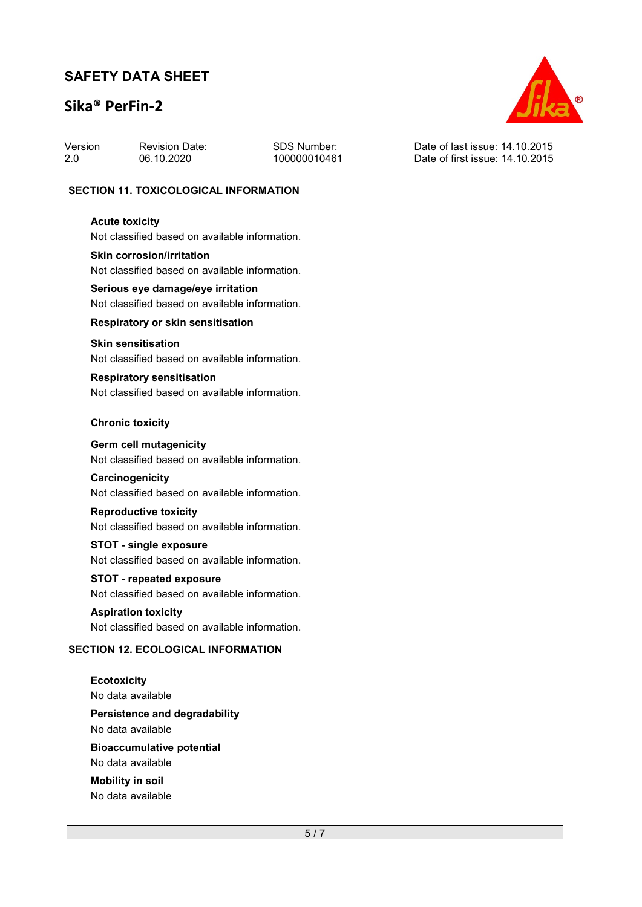## Sika® PerFin-2



| Version | <b>Revision Date:</b> | SDS Number:  | Date of last issue: 14.10.2015  |
|---------|-----------------------|--------------|---------------------------------|
| 2.0     | 06.10.2020            | 100000010461 | Date of first issue: 14.10.2015 |
|         |                       |              |                                 |

#### SECTION 11. TOXICOLOGICAL INFORMATION

#### Acute toxicity

Not classified based on available information.

#### Skin corrosion/irritation

Not classified based on available information.

# Serious eye damage/eye irritation

Not classified based on available information.

#### Respiratory or skin sensitisation

#### Skin sensitisation

Not classified based on available information.

### Respiratory sensitisation

Not classified based on available information.

#### Chronic toxicity

#### Germ cell mutagenicity

Not classified based on available information.

#### **Carcinogenicity**

Not classified based on available information.

### Reproductive toxicity

Not classified based on available information.

#### STOT - single exposure

Not classified based on available information.

## STOT - repeated exposure

Not classified based on available information.

#### Aspiration toxicity

Not classified based on available information.

#### SECTION 12. ECOLOGICAL INFORMATION

**Ecotoxicity** No data available

Persistence and degradability No data available

Bioaccumulative potential No data available

Mobility in soil No data available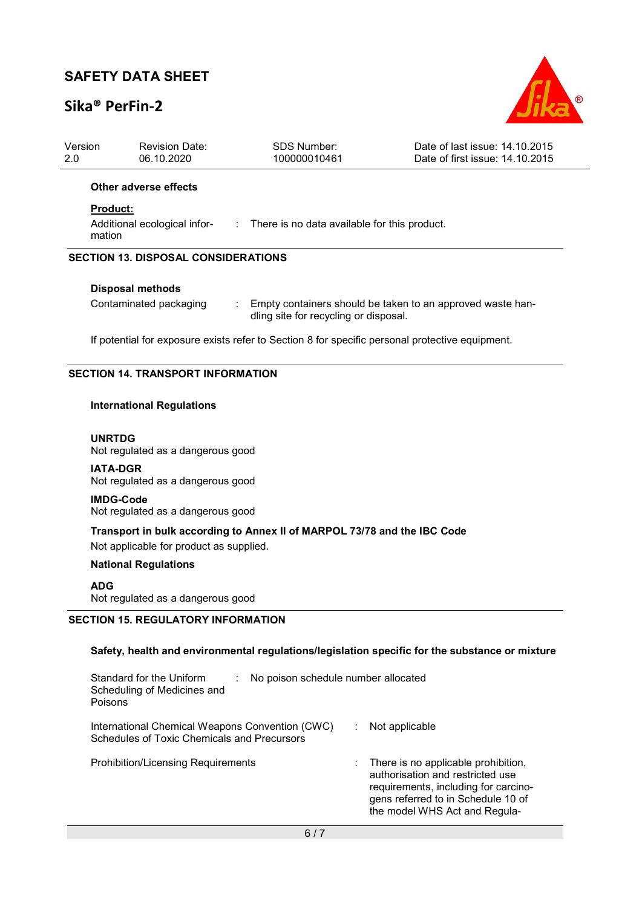## Sika® PerFin-2



| Version<br>2.0                                                                                  | <b>Revision Date:</b><br>06.10.2020                                                                                           | <b>SDS Number:</b><br>100000010461 | Date of last issue: 14.10.2015<br>Date of first issue: 14.10.2015 |  |  |  |
|-------------------------------------------------------------------------------------------------|-------------------------------------------------------------------------------------------------------------------------------|------------------------------------|-------------------------------------------------------------------|--|--|--|
|                                                                                                 | Other adverse effects                                                                                                         |                                    |                                                                   |  |  |  |
|                                                                                                 | <b>Product:</b>                                                                                                               |                                    |                                                                   |  |  |  |
| Additional ecological infor- : There is no data available for this product.<br>mation           |                                                                                                                               |                                    |                                                                   |  |  |  |
| <b>SECTION 13. DISPOSAL CONSIDERATIONS</b>                                                      |                                                                                                                               |                                    |                                                                   |  |  |  |
|                                                                                                 | <b>Disposal methods</b>                                                                                                       |                                    |                                                                   |  |  |  |
|                                                                                                 | Contaminated packaging<br>Empty containers should be taken to an approved waste han-<br>dling site for recycling or disposal. |                                    |                                                                   |  |  |  |
| If potential for exposure exists refer to Section 8 for specific personal protective equipment. |                                                                                                                               |                                    |                                                                   |  |  |  |
| <b>SECTION 14. TRANSPORT INFORMATION</b>                                                        |                                                                                                                               |                                    |                                                                   |  |  |  |
| <b>International Regulations</b>                                                                |                                                                                                                               |                                    |                                                                   |  |  |  |
|                                                                                                 | <b>UNRTDG</b><br>Not regulated as a dangerous good                                                                            |                                    |                                                                   |  |  |  |

IATA-DGR Not regulated as a dangerous good

IMDG-Code Not regulated as a dangerous good

Transport in bulk according to Annex II of MARPOL 73/78 and the IBC Code

Not applicable for product as supplied.

### National Regulations

### ADG

Not regulated as a dangerous good

### SECTION 15. REGULATORY INFORMATION

### Safety, health and environmental regulations/legislation specific for the substance or mixture

| Standard for the Uniform<br>No poison schedule number allocated<br>÷<br>Scheduling of Medicines and<br>Poisons |                                                                                                                                                                                        |
|----------------------------------------------------------------------------------------------------------------|----------------------------------------------------------------------------------------------------------------------------------------------------------------------------------------|
| International Chemical Weapons Convention (CWC)<br>Schedules of Toxic Chemicals and Precursors                 | Not applicable                                                                                                                                                                         |
| <b>Prohibition/Licensing Requirements</b>                                                                      | There is no applicable prohibition,<br>authorisation and restricted use<br>requirements, including for carcino-<br>gens referred to in Schedule 10 of<br>the model WHS Act and Regula- |